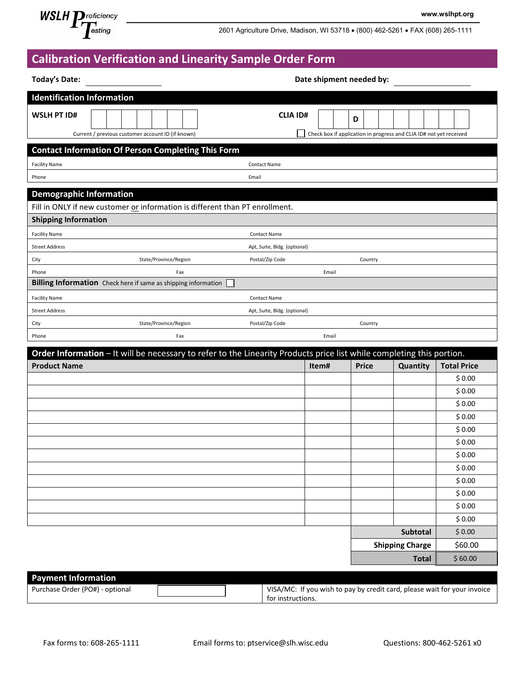

2601 Agriculture Drive, Madison, WI 53718 • (800) 462-5261 • FAX (608) 265-1111

**www.wslhpt.org**

## **Calibration Verification and Linearity Sample Order Form**

| <b>Today's Date:</b>                                                                                                  | Date shipment needed by:     |       |                                                                         |                        |                    |
|-----------------------------------------------------------------------------------------------------------------------|------------------------------|-------|-------------------------------------------------------------------------|------------------------|--------------------|
| <b>Identification Information</b>                                                                                     |                              |       |                                                                         |                        |                    |
| <b>WSLH PT ID#</b><br>Current / previous customer account ID (if known)                                               | <b>CLIA ID#</b>              |       | D<br>Check box if application in progress and CLIA ID# not yet received |                        |                    |
| <b>Contact Information Of Person Completing This Form</b>                                                             |                              |       |                                                                         |                        |                    |
| <b>Facility Name</b>                                                                                                  | <b>Contact Name</b>          |       |                                                                         |                        |                    |
| Phone                                                                                                                 | Email                        |       |                                                                         |                        |                    |
| <b>Demographic Information</b>                                                                                        |                              |       |                                                                         |                        |                    |
| Fill in ONLY if new customer or information is different than PT enrollment.                                          |                              |       |                                                                         |                        |                    |
| <b>Shipping Information</b>                                                                                           |                              |       |                                                                         |                        |                    |
| <b>Facility Name</b>                                                                                                  | <b>Contact Name</b>          |       |                                                                         |                        |                    |
| <b>Street Address</b>                                                                                                 | Apt, Suite, Bldg. (optional) |       |                                                                         |                        |                    |
| State/Province/Region<br>City                                                                                         | Postal/Zip Code              |       | Country                                                                 |                        |                    |
| Phone<br>Fax                                                                                                          |                              | Email |                                                                         |                        |                    |
| Billing Information Check here if same as shipping information                                                        |                              |       |                                                                         |                        |                    |
| <b>Facility Name</b>                                                                                                  | <b>Contact Name</b>          |       |                                                                         |                        |                    |
| <b>Street Address</b>                                                                                                 | Apt, Suite, Bldg. (optional) |       |                                                                         |                        |                    |
| State/Province/Region<br>City                                                                                         | Postal/Zip Code              |       | Country                                                                 |                        |                    |
| Phone<br>Fax                                                                                                          |                              | Email |                                                                         |                        |                    |
| Order Information - It will be necessary to refer to the Linearity Products price list while completing this portion. |                              |       |                                                                         |                        |                    |
| <b>Product Name</b>                                                                                                   |                              | Item# | <b>Price</b>                                                            | Quantity               | <b>Total Price</b> |
|                                                                                                                       |                              |       |                                                                         |                        | \$0.00             |
|                                                                                                                       |                              |       |                                                                         |                        | \$0.00             |
|                                                                                                                       |                              |       |                                                                         |                        | \$0.00             |
|                                                                                                                       |                              |       |                                                                         |                        | \$0.00             |
|                                                                                                                       |                              |       |                                                                         |                        | \$0.00             |
|                                                                                                                       |                              |       |                                                                         |                        | \$0.00             |
|                                                                                                                       |                              |       |                                                                         |                        | \$0.00             |
|                                                                                                                       |                              |       |                                                                         |                        | \$0.00             |
|                                                                                                                       |                              |       |                                                                         |                        | \$0.00             |
|                                                                                                                       |                              |       |                                                                         |                        | \$0.00             |
|                                                                                                                       |                              |       |                                                                         |                        | \$0.00<br>\$0.00   |
|                                                                                                                       |                              |       |                                                                         | Subtotal               | \$0.00             |
|                                                                                                                       |                              |       |                                                                         | <b>Shipping Charge</b> | \$60.00            |
|                                                                                                                       |                              |       |                                                                         | <b>Total</b>           | \$60.00            |
|                                                                                                                       |                              |       |                                                                         |                        |                    |

| <b>Payment Information</b>      |                                                                          |
|---------------------------------|--------------------------------------------------------------------------|
| Purchase Order (PO#) - optional | VISA/MC: If you wish to pay by credit card, please wait for your invoice |
|                                 | for instructions.                                                        |